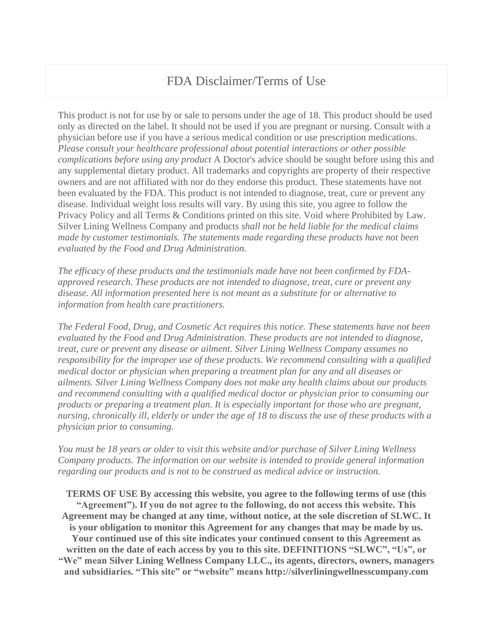# FDA Disclaimer/Terms of Use

This product is not for use by or sale to persons under the age of 18. This product should be used only as directed on the label. It should not be used if you are pregnant or nursing. Consult with a physician before use if you have a serious medical condition or use prescription medications. *Please consult your healthcare professional about potential interactions or other possible complications before using any product* A Doctor's advice should be sought before using this and any supplemental dietary product. All trademarks and copyrights are property of their respective owners and are not affiliated with nor do they endorse this product. These statements have not been evaluated by the FDA. This product is not intended to diagnose, treat, cure or prevent any disease. Individual weight loss results will vary. By using this site, you agree to follow the Privacy Policy and all Terms & Conditions printed on this site. Void where Prohibited by Law. Silver Lining Wellness Company and products *shall not be held liable for the medical claims made by customer testimonials. The statements made regarding these products have not been evaluated by the Food and Drug Administration.*

*The efficacy of these products and the testimonials made have not been confirmed by FDAapproved research. These products are not intended to diagnose, treat, cure or prevent any disease. All information presented here is not meant as a substitute for or alternative to information from health care practitioners.*

*The Federal Food, Drug, and Cosmetic Act requires this notice. These statements have not been evaluated by the Food and Drug Administration. These products are not intended to diagnose, treat, cure or prevent any disease or ailment. Silver Lining Wellness Company assumes no responsibility for the improper use of these products. We recommend consulting with a qualified medical doctor or physician when preparing a treatment plan for any and all diseases or ailments. Silver Lining Wellness Company does not make any health claims about our products and recommend consulting with a qualified medical doctor or physician prior to consuming our products or preparing a treatment plan. It is especially important for those who are pregnant, nursing, chronically ill, elderly or under the age of 18 to discuss the use of these products with a physician prior to consuming.*

*You must be 18 years or older to visit this website and/or purchase of Silver Lining Wellness Company products. The information on our website is intended to provide general information regarding our products and is not to be construed as medical advice or instruction.*

**TERMS OF USE By accessing this website, you agree to the following terms of use (this "Agreement"). If you do not agree to the following, do not access this website. This Agreement may be changed at any time, without notice, at the sole discretion of SLWC. It is your obligation to monitor this Agreement for any changes that may be made by us. Your continued use of this site indicates your continued consent to this Agreement as written on the date of each access by you to this site. DEFINITIONS "SLWC", "Us", or "We" mean Silver Lining Wellness Company LLC., its agents, directors, owners, managers and subsidiaries. "This site" or "website" means http://silverliningwellnesscompany.com**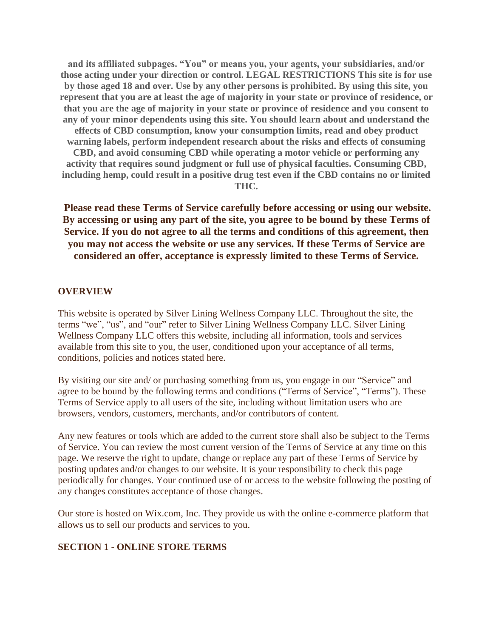**and its affiliated subpages. "You" or means you, your agents, your subsidiaries, and/or those acting under your direction or control. LEGAL RESTRICTIONS This site is for use by those aged 18 and over. Use by any other persons is prohibited. By using this site, you represent that you are at least the age of majority in your state or province of residence, or that you are the age of majority in your state or province of residence and you consent to any of your minor dependents using this site. You should learn about and understand the effects of CBD consumption, know your consumption limits, read and obey product warning labels, perform independent research about the risks and effects of consuming CBD, and avoid consuming CBD while operating a motor vehicle or performing any activity that requires sound judgment or full use of physical faculties. Consuming CBD, including hemp, could result in a positive drug test even if the CBD contains no or limited** 

**THC.**

**Please read these Terms of Service carefully before accessing or using our website. By accessing or using any part of the site, you agree to be bound by these Terms of Service. If you do not agree to all the terms and conditions of this agreement, then you may not access the website or use any services. If these Terms of Service are considered an offer, acceptance is expressly limited to these Terms of Service.**

#### **OVERVIEW**

This website is operated by Silver Lining Wellness Company LLC. Throughout the site, the terms "we", "us", and "our" refer to Silver Lining Wellness Company LLC. Silver Lining Wellness Company LLC offers this website, including all information, tools and services available from this site to you, the user, conditioned upon your acceptance of all terms, conditions, policies and notices stated here.

By visiting our site and/ or purchasing something from us, you engage in our "Service" and agree to be bound by the following terms and conditions ("Terms of Service", "Terms"). These Terms of Service apply to all users of the site, including without limitation users who are browsers, vendors, customers, merchants, and/or contributors of content.

Any new features or tools which are added to the current store shall also be subject to the Terms of Service. You can review the most current version of the Terms of Service at any time on this page. We reserve the right to update, change or replace any part of these Terms of Service by posting updates and/or changes to our website. It is your responsibility to check this page periodically for changes. Your continued use of or access to the website following the posting of any changes constitutes acceptance of those changes.

Our store is hosted on Wix.com, Inc. They provide us with the online e-commerce platform that allows us to sell our products and services to you.

#### **SECTION 1 - ONLINE STORE TERMS**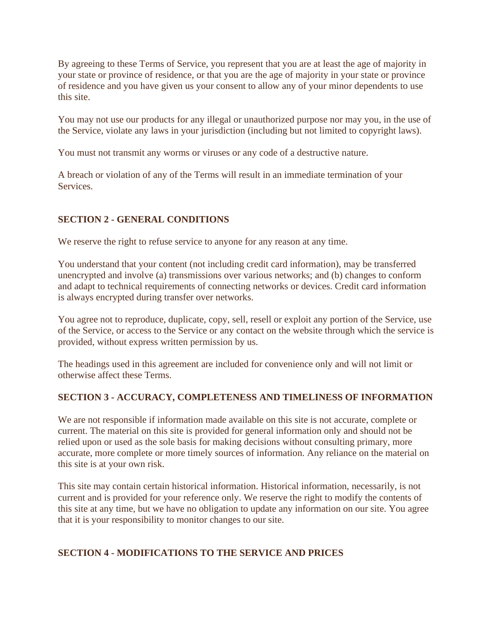By agreeing to these Terms of Service, you represent that you are at least the age of majority in your state or province of residence, or that you are the age of majority in your state or province of residence and you have given us your consent to allow any of your minor dependents to use this site.

You may not use our products for any illegal or unauthorized purpose nor may you, in the use of the Service, violate any laws in your jurisdiction (including but not limited to copyright laws).

You must not transmit any worms or viruses or any code of a destructive nature.

A breach or violation of any of the Terms will result in an immediate termination of your **Services** 

## **SECTION 2 - GENERAL CONDITIONS**

We reserve the right to refuse service to anyone for any reason at any time.

You understand that your content (not including credit card information), may be transferred unencrypted and involve (a) transmissions over various networks; and (b) changes to conform and adapt to technical requirements of connecting networks or devices. Credit card information is always encrypted during transfer over networks.

You agree not to reproduce, duplicate, copy, sell, resell or exploit any portion of the Service, use of the Service, or access to the Service or any contact on the website through which the service is provided, without express written permission by us.

The headings used in this agreement are included for convenience only and will not limit or otherwise affect these Terms.

## **SECTION 3 - ACCURACY, COMPLETENESS AND TIMELINESS OF INFORMATION**

We are not responsible if information made available on this site is not accurate, complete or current. The material on this site is provided for general information only and should not be relied upon or used as the sole basis for making decisions without consulting primary, more accurate, more complete or more timely sources of information. Any reliance on the material on this site is at your own risk.

This site may contain certain historical information. Historical information, necessarily, is not current and is provided for your reference only. We reserve the right to modify the contents of this site at any time, but we have no obligation to update any information on our site. You agree that it is your responsibility to monitor changes to our site.

## **SECTION 4 - MODIFICATIONS TO THE SERVICE AND PRICES**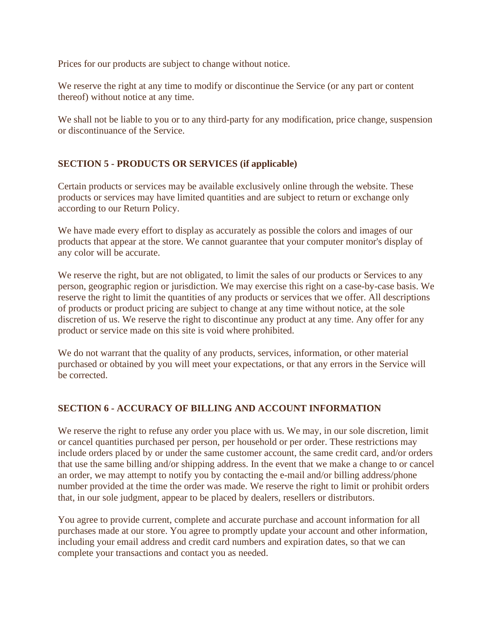Prices for our products are subject to change without notice.

We reserve the right at any time to modify or discontinue the Service (or any part or content thereof) without notice at any time.

We shall not be liable to you or to any third-party for any modification, price change, suspension or discontinuance of the Service.

## **SECTION 5 - PRODUCTS OR SERVICES (if applicable)**

Certain products or services may be available exclusively online through the website. These products or services may have limited quantities and are subject to return or exchange only according to our Return Policy.

We have made every effort to display as accurately as possible the colors and images of our products that appear at the store. We cannot guarantee that your computer monitor's display of any color will be accurate.

We reserve the right, but are not obligated, to limit the sales of our products or Services to any person, geographic region or jurisdiction. We may exercise this right on a case-by-case basis. We reserve the right to limit the quantities of any products or services that we offer. All descriptions of products or product pricing are subject to change at any time without notice, at the sole discretion of us. We reserve the right to discontinue any product at any time. Any offer for any product or service made on this site is void where prohibited.

We do not warrant that the quality of any products, services, information, or other material purchased or obtained by you will meet your expectations, or that any errors in the Service will be corrected.

## **SECTION 6 - ACCURACY OF BILLING AND ACCOUNT INFORMATION**

We reserve the right to refuse any order you place with us. We may, in our sole discretion, limit or cancel quantities purchased per person, per household or per order. These restrictions may include orders placed by or under the same customer account, the same credit card, and/or orders that use the same billing and/or shipping address. In the event that we make a change to or cancel an order, we may attempt to notify you by contacting the e-mail and/or billing address/phone number provided at the time the order was made. We reserve the right to limit or prohibit orders that, in our sole judgment, appear to be placed by dealers, resellers or distributors.

You agree to provide current, complete and accurate purchase and account information for all purchases made at our store. You agree to promptly update your account and other information, including your email address and credit card numbers and expiration dates, so that we can complete your transactions and contact you as needed.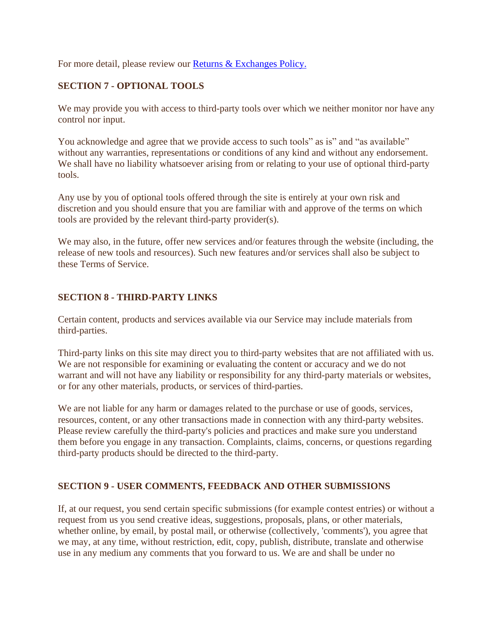#### For more detail, please review our Returns & [Exchanges](https://www.silverliningwellnesscompany.com/) Policy.

## **SECTION 7 - OPTIONAL TOOLS**

We may provide you with access to third-party tools over which we neither monitor nor have any control nor input.

You acknowledge and agree that we provide access to such tools" as is" and "as available" without any warranties, representations or conditions of any kind and without any endorsement. We shall have no liability whatsoever arising from or relating to your use of optional third-party tools.

Any use by you of optional tools offered through the site is entirely at your own risk and discretion and you should ensure that you are familiar with and approve of the terms on which tools are provided by the relevant third-party provider(s).

We may also, in the future, offer new services and/or features through the website (including, the release of new tools and resources). Such new features and/or services shall also be subject to these Terms of Service.

## **SECTION 8 - THIRD-PARTY LINKS**

Certain content, products and services available via our Service may include materials from third-parties.

Third-party links on this site may direct you to third-party websites that are not affiliated with us. We are not responsible for examining or evaluating the content or accuracy and we do not warrant and will not have any liability or responsibility for any third-party materials or websites, or for any other materials, products, or services of third-parties.

We are not liable for any harm or damages related to the purchase or use of goods, services, resources, content, or any other transactions made in connection with any third-party websites. Please review carefully the third-party's policies and practices and make sure you understand them before you engage in any transaction. Complaints, claims, concerns, or questions regarding third-party products should be directed to the third-party.

## **SECTION 9 - USER COMMENTS, FEEDBACK AND OTHER SUBMISSIONS**

If, at our request, you send certain specific submissions (for example contest entries) or without a request from us you send creative ideas, suggestions, proposals, plans, or other materials, whether online, by email, by postal mail, or otherwise (collectively, 'comments'), you agree that we may, at any time, without restriction, edit, copy, publish, distribute, translate and otherwise use in any medium any comments that you forward to us. We are and shall be under no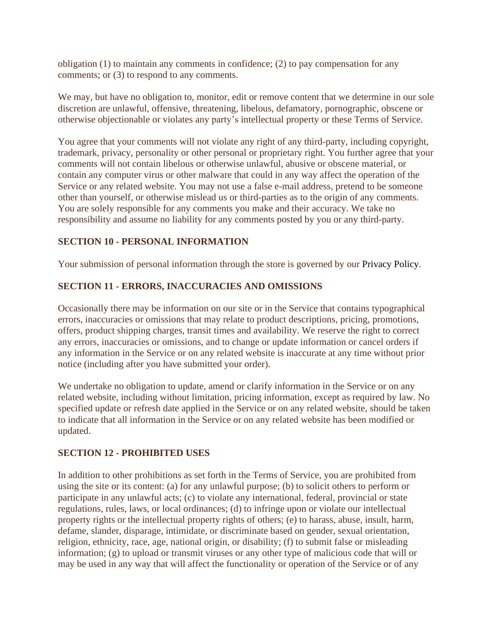obligation (1) to maintain any comments in confidence; (2) to pay compensation for any comments; or (3) to respond to any comments.

We may, but have no obligation to, monitor, edit or remove content that we determine in our sole discretion are unlawful, offensive, threatening, libelous, defamatory, pornographic, obscene or otherwise objectionable or violates any party's intellectual property or these Terms of Service.

You agree that your comments will not violate any right of any third-party, including copyright, trademark, privacy, personality or other personal or proprietary right. You further agree that your comments will not contain libelous or otherwise unlawful, abusive or obscene material, or contain any computer virus or other malware that could in any way affect the operation of the Service or any related website. You may not use a false e-mail address, pretend to be someone other than yourself, or otherwise mislead us or third-parties as to the origin of any comments. You are solely responsible for any comments you make and their accuracy. We take no responsibility and assume no liability for any comments posted by you or any third-party.

## **SECTION 10 - PERSONAL INFORMATION**

Your submission of personal information through the store is governed by our Privacy Policy.

## **SECTION 11 - ERRORS, INACCURACIES AND OMISSIONS**

Occasionally there may be information on our site or in the Service that contains typographical errors, inaccuracies or omissions that may relate to product descriptions, pricing, promotions, offers, product shipping charges, transit times and availability. We reserve the right to correct any errors, inaccuracies or omissions, and to change or update information or cancel orders if any information in the Service or on any related website is inaccurate at any time without prior notice (including after you have submitted your order).

We undertake no obligation to update, amend or clarify information in the Service or on any related website, including without limitation, pricing information, except as required by law. No specified update or refresh date applied in the Service or on any related website, should be taken to indicate that all information in the Service or on any related website has been modified or updated.

## **SECTION 12 - PROHIBITED USES**

In addition to other prohibitions as set forth in the Terms of Service, you are prohibited from using the site or its content: (a) for any unlawful purpose; (b) to solicit others to perform or participate in any unlawful acts; (c) to violate any international, federal, provincial or state regulations, rules, laws, or local ordinances; (d) to infringe upon or violate our intellectual property rights or the intellectual property rights of others; (e) to harass, abuse, insult, harm, defame, slander, disparage, intimidate, or discriminate based on gender, sexual orientation, religion, ethnicity, race, age, national origin, or disability; (f) to submit false or misleading information; (g) to upload or transmit viruses or any other type of malicious code that will or may be used in any way that will affect the functionality or operation of the Service or of any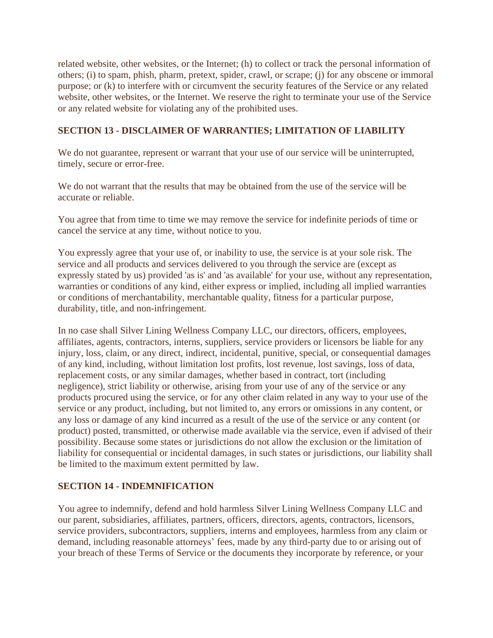related website, other websites, or the Internet; (h) to collect or track the personal information of others; (i) to spam, phish, pharm, pretext, spider, crawl, or scrape; (j) for any obscene or immoral purpose; or (k) to interfere with or circumvent the security features of the Service or any related website, other websites, or the Internet. We reserve the right to terminate your use of the Service or any related website for violating any of the prohibited uses.

#### **SECTION 13 - DISCLAIMER OF WARRANTIES; LIMITATION OF LIABILITY**

We do not guarantee, represent or warrant that your use of our service will be uninterrupted, timely, secure or error-free.

We do not warrant that the results that may be obtained from the use of the service will be accurate or reliable.

You agree that from time to time we may remove the service for indefinite periods of time or cancel the service at any time, without notice to you.

You expressly agree that your use of, or inability to use, the service is at your sole risk. The service and all products and services delivered to you through the service are (except as expressly stated by us) provided 'as is' and 'as available' for your use, without any representation, warranties or conditions of any kind, either express or implied, including all implied warranties or conditions of merchantability, merchantable quality, fitness for a particular purpose, durability, title, and non-infringement.

In no case shall Silver Lining Wellness Company LLC, our directors, officers, employees, affiliates, agents, contractors, interns, suppliers, service providers or licensors be liable for any injury, loss, claim, or any direct, indirect, incidental, punitive, special, or consequential damages of any kind, including, without limitation lost profits, lost revenue, lost savings, loss of data, replacement costs, or any similar damages, whether based in contract, tort (including negligence), strict liability or otherwise, arising from your use of any of the service or any products procured using the service, or for any other claim related in any way to your use of the service or any product, including, but not limited to, any errors or omissions in any content, or any loss or damage of any kind incurred as a result of the use of the service or any content (or product) posted, transmitted, or otherwise made available via the service, even if advised of their possibility. Because some states or jurisdictions do not allow the exclusion or the limitation of liability for consequential or incidental damages, in such states or jurisdictions, our liability shall be limited to the maximum extent permitted by law.

## **SECTION 14 - INDEMNIFICATION**

You agree to indemnify, defend and hold harmless Silver Lining Wellness Company LLC and our parent, subsidiaries, affiliates, partners, officers, directors, agents, contractors, licensors, service providers, subcontractors, suppliers, interns and employees, harmless from any claim or demand, including reasonable attorneys' fees, made by any third-party due to or arising out of your breach of these Terms of Service or the documents they incorporate by reference, or your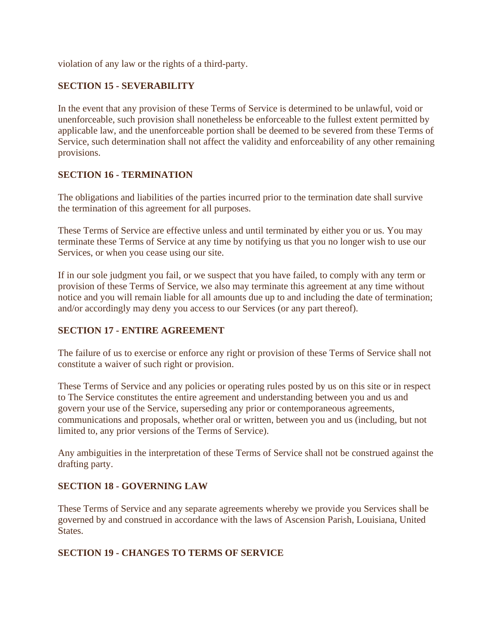violation of any law or the rights of a third-party.

#### **SECTION 15 - SEVERABILITY**

In the event that any provision of these Terms of Service is determined to be unlawful, void or unenforceable, such provision shall nonetheless be enforceable to the fullest extent permitted by applicable law, and the unenforceable portion shall be deemed to be severed from these Terms of Service, such determination shall not affect the validity and enforceability of any other remaining provisions.

#### **SECTION 16 - TERMINATION**

The obligations and liabilities of the parties incurred prior to the termination date shall survive the termination of this agreement for all purposes.

These Terms of Service are effective unless and until terminated by either you or us. You may terminate these Terms of Service at any time by notifying us that you no longer wish to use our Services, or when you cease using our site.

If in our sole judgment you fail, or we suspect that you have failed, to comply with any term or provision of these Terms of Service, we also may terminate this agreement at any time without notice and you will remain liable for all amounts due up to and including the date of termination; and/or accordingly may deny you access to our Services (or any part thereof).

#### **SECTION 17 - ENTIRE AGREEMENT**

The failure of us to exercise or enforce any right or provision of these Terms of Service shall not constitute a waiver of such right or provision.

These Terms of Service and any policies or operating rules posted by us on this site or in respect to The Service constitutes the entire agreement and understanding between you and us and govern your use of the Service, superseding any prior or contemporaneous agreements, communications and proposals, whether oral or written, between you and us (including, but not limited to, any prior versions of the Terms of Service).

Any ambiguities in the interpretation of these Terms of Service shall not be construed against the drafting party.

#### **SECTION 18 - GOVERNING LAW**

These Terms of Service and any separate agreements whereby we provide you Services shall be governed by and construed in accordance with the laws of Ascension Parish, Louisiana, United States.

## **SECTION 19 - CHANGES TO TERMS OF SERVICE**